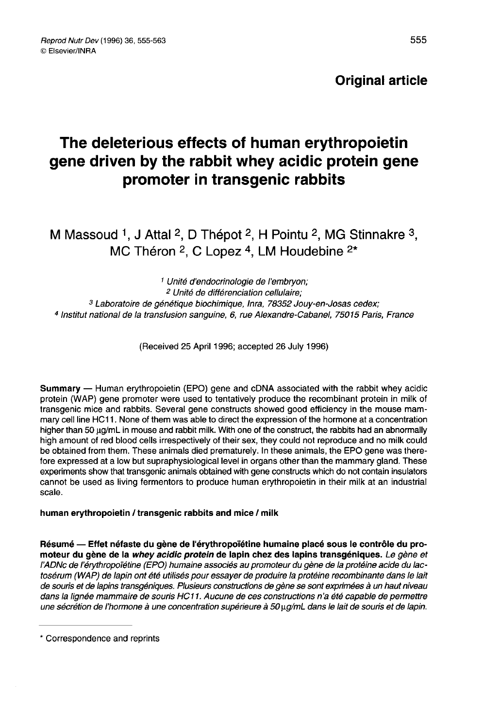# Original article

# The deleterious effects of human erythropoietin gene driven by the rabbit whey acidic protein gene promoter in transgenic rabbits

M Massoud <sup>1</sup>, J Attal <sup>2</sup>, D Thépot <sup>2</sup>, H Pointu <sup>2</sup>, MG Stinnakre <sup>3</sup>, MC Théron  $2$ . C Lopez  $4$ . LM Houdebine  $2*$ 

 Unité d'endocrinologie de l'embryon; Unité de différenciation cellulaire; Laboratoire de génétique biochimique, Inra, 78352 Jouy-en-Josas cedex Institut national de la transfusion sanguine, 6, rue Alexandre-Cabanel, 75015 Paris, France

(Received 25 April 1996; accepted 26 July 1996)

Summary — Human erythropoietin (EPO) gene and cDNA associated with the rabbit whey acidic protein (WAP) gene promoter were used to tentatively produce the recombinant protein in milk of transgenic mice and rabbits. Several gene constructs showed good efficiency in the mouse mammary cell line HC11. None of them was able to direct the expression of the hormone at a concentration higher than 50 ug/mL in mouse and rabbit milk. With one of the construct, the rabbits had an abnormally high amount of red blood cells irrespectively of their sex, they could not reproduce and no milk could be obtained from them. These animals died prematurely. In these animals, the EPO gene was therefore expressed at a low but supraphysiological level in organs other than the mammary gland. These experiments show that transgenic animals obtained with gene constructs which do not contain insulators cannot be used as living fermentors to produce human erythropoietin in their milk at an industrial scale.

#### human erythropoietin / transgenic rabbits and mice / milk

Résumé ― Effet néfaste du gène de l'érythropoïétine humaine placé sous le contrôle du promoteur du gène de la *whey acidic protein* de lapin chez des lapins transgéniques. *Le gène et* l'ADNc de l'érythropoïétine (EPO) humaine associés au promoteur du gène de la protéine acide du lactosérum (INAP) de lapin ont été utilisés pour essayer de produire la protéine recombinante dans le lait de souris et de lapins transgéniques. Plusieurs constructions de gène se sont exprimées à un haut niveau dans la lignée mammaire de souris HC11. Aucune de ces constructions n'a été capable de permettre une sécrétion de l'hormone à une concentration supérieure à 50 µg/mL dans le lait de souris et de lapin.

<sup>\*</sup> Correspondence and reprints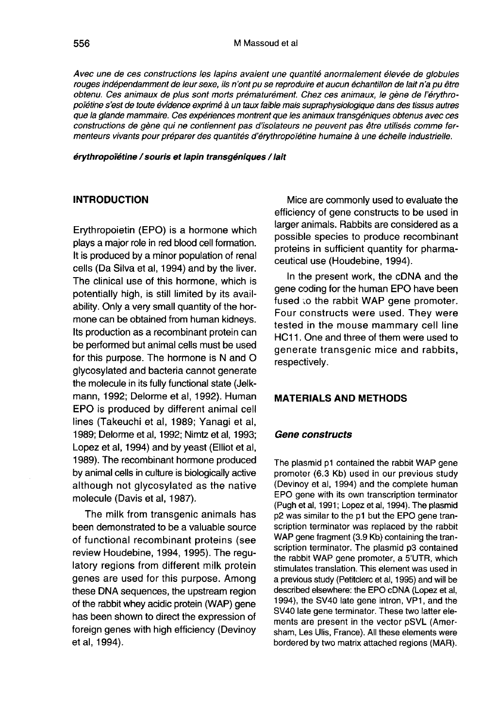Avec une de ces constructions les lapins avaient une quantité anormalement élevée de globules rouges indépendamment de leur sexe, ils n'ont pu se reproduire et aucun échantillon de lait n'a pu être obtenu. Ces animaux de plus sont morts prématurément. Chez ces animaux, le gène de l'érythropoïétine s'est de toute évidence exprimé à un taux faible mais supraphysiologique dans des tissus autres que la glande mammaire. Ces expériences montrent que les animaux transgéniques obtenus avec ces constructions de gène qui ne contiennent pas d'isolateurs ne peuvent pas être utilisés comme fermenteurs vivants pour préparer des quantités d'érythropoiëüne humaine à une échelle industrielle.

érythropoïétine / souris et lapin transgéniques / lait

#### INTRODUCTION

Erythropoietin (EPO) is a hormone which plays a major role in red blood cell formation. It is produced by a minor population of renal cells (Da Silva et al, 1994) and by the liver. The clinical use of this hormone, which is potentially high, is still limited by its availability. Only a very small quantity of the hormone can be obtained from human kidneys. Its production as a recombinant protein can be performed but animal cells must be used for this purpose. The hormone is N and O glycosylated and bacteria cannot generate the molecule in its fully functional state (Jelkmann, 1992; Delorme et al, 1992). Human EPO is produced by different animal cell lines (Takeuchi et al, 1989; Yanagi et al, 1989; Delorme et al, 1992; Nimtz et al, 1993; Lopez et al, 1994) and by yeast (Elliot et al, 1989). The recombinant hormone produced by animal cells in culture is biologically active although not glycosylated as the native molecule (Davis et al, 1987).

The milk from transgenic animals has been demonstrated to be a valuable source of functional recombinant proteins (see review Houdebine, 1994, 1995). The regulatory regions from different milk protein genes are used for this purpose. Among these DNA sequences, the upstream region of the rabbit whey acidic protein (WAP) gene has been shown to direct the expression of foreign genes with high efficiency (Devinoy et al, 1994).

Mice are commonly used to evaluate the efficiency of gene constructs to be used in larger animals. Rabbits are considered as a possible species to produce recombinant proteins in sufficient quantity for pharmaceutical use (Houdebine, 1994).

In the present work, the cDNA and the gene coding for the human EPO have been fused to the rabbit WAP gene promoter. Four constructs were used. They were tested in the mouse mammary cell line HC11. One and three of them were used to generate transgenic mice and rabbits, respectively.

#### MATERIALS AND METHODS

#### Gene constructs

The plasmid p1 contained the rabbit WAP gene promoter (6.3 Kb) used in our previous study (Devinoy et al, 1994) and the complete human EPO gene with its own transcription terminator (Pugh et al, 1991; Lopez et al, 1994). The plasmid p2 was similar to the p1 but the EPO gene transcription terminator was replaced by the rabbit WAP gene fragment (3.9 Kb) containing the transcription terminator. The plasmid p3 contained the rabbit WAP gene promoter, a 5'UTR, which stimulates translation. This element was used in a previous study (Petitclerc et al, 1995) and will be described elsewhere: the EPO cDNA (Lopez et al, 1994), the SV40 late gene intron, VP1, and the SV40 late gene terminator. These two latter elements are present in the vector pSVL (Amersham, Les Ulis, France). All these elements were bordered by two matrix attached regions (MAR).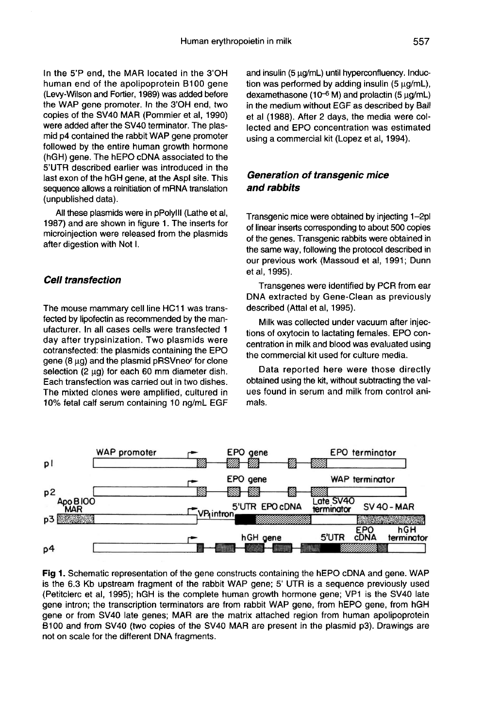In the 5'P end, the MAR located in the 3'OH human end of the apolipoprotein B100 gene (Levy-Wilson and Fortier, 1989) was added before the WAP gene promoter. In the 3'OH end, two copies of the SV40 MAR (Pommier et al, 1990) were added after the SV40 terminator. The plasmid p4 contained the rabbit WAP gene promoter followed by the entire human growth hormone (hGH) gene. The hEPO cDNA associated to the 5'UTR described earlier was introduced in the last exon of the hGH gene, at the Aspl site. This sequence allows a reinitiation of mRNA translation (unpublished data).

All these plasmids were in pPolylll (Lathe et ai, 1987) and are shown in figure 1. The inserts for microinjection were released from the plasmids after digestion with Not I.

#### Cell transfection

The mouse mammary cell line HC11 was transfected by lipofectin as recommended by the manufacturer. In all cases cells were transfected 1 day after trypsinization. Two plasmids were cotransfected: the plasmids containing the EPO fected by lipofectin as recommended by the manufacturer. In all cases cells were transfected 1 day after trypsinization. Two plasmids were cotransfected: the plasmids containing the EPO gene (8  $\mu$ g) and the plasmid pRSV gene (8  $\mu$ g) and the plasmid pRSVneo<sup>r</sup> for clone selection (2  $\mu$ g) for each 60 mm diameter dish. Each transfection was carried out in two dishes. The mixted clones were amplified, cultured in 10% fetal calf serum containing 10 ng/mL EGF and insulin (5 ug/mL) until hyperconfluency. Induction was performed by adding insulin (5  $\mu$ g/mL),<br>dexamethasone (10<sup>-6</sup> M) and prolactin (5  $\mu$ g/mL),<br>in the modium without EQE as described by Bell in the medium without EGF as described by Ball et al (1988). After 2 days, the media were collected and EPO concentration was estimated using a commercial kit (Lopez et al, 1994).

#### Generation of transgenic mice and rabbits

Transgenic mice were obtained by injecting 1-2pl of linear inserts corresponding to about 500 copies of the genes. Transgenic rabbits were obtained in the same way, following the protocol described in our previous work (Massoud et al, 1991; Dunn et al, 1995).

Transgenes were identified by PCR from ear DNA extracted by Gene-Clean as previously described (Attal et al, 1995).

Milk was collected under vacuum after injections of oxytocin to lactating females. EPO concentration in milk and blood was evaluated using the commercial kit used for culture media.

Data reported here were those directly obtained using the kit, without subtracting the values found in serum and milk from control animals.



Fig 1. Schematic representation of the gene constructs containing the hEPO cDNA and gene. WAP is the 6.3 Kb upstream fragment of the rabbit WAP gene; 5' UTR is a sequence previously used (Petitclerc et al, 1995); hGH is the complete human growth hormone gene; VP1 is the SV40 late gene intron; the transcription terminators are from rabbit WAP gene, from hEPO gene, from hGH gene or from SV40 late genes; MAR are the matrix attached region from human apolipoprotein B100 and from SV40 (two copies of the SV40 MAR are present in the plasmid p3). Drawings are not on scale for the different DNA fragments.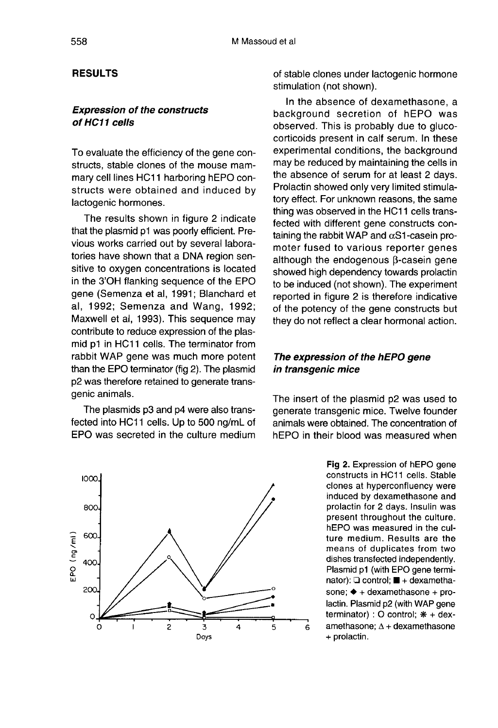## RESULTS

### Expression of the constructs of HC11 cells

To evaluate the efficiency of the gene constructs, stable clones of the mouse mammary cell lines HC11 harboring hEPO constructs were obtained and induced by lactogenic hormones.

The results shown in figure 2 indicate that the plasmid p1 was poorly efficient. Previous works carried out by several laboratories have shown that a DNA region sensitive to oxygen concentrations is located in the 3'OH flanking sequence of the EPO gene (Semenza et al, 1991; Blanchard et al, 1992; Semenza and Wang, 1992; Maxwell et al, 1993). This sequence may contribute to reduce expression of the plasmid p1 in HC11 cells. The terminator from rabbit WAP gene was much more potent than the EPO terminator (fig 2). The plasmid p2 was therefore retained to generate transgenic animals.

The plasmids p3 and p4 were also transfected into HC11 cells. Up to 500 ng/mL of EPO was secreted in the culture medium



of stable clones under lactogenic hormone stimulation (not shown).

In the absence of dexamethasone, a background secretion of hEPO was observed. This is probably due to glucocorticoids present in calf serum. In these experimental conditions, the background may be reduced by maintaining the cells in the absence of serum for at least 2 days. Prolactin showed only very limited stimulatory effect. For unknown reasons, the same thing was observed in the HC11 cells transfected with different gene constructs containing the rabbit WAP and  $\alpha$ S1-casein promoter fused to various reporter genes although the endogenous  $\beta$ -casein gene showed high dependency towards prolactin to be induced (not shown). The experiment reported in figure 2 is therefore indicative of the potency of the gene constructs but they do not reflect a clear hormonal action.

# The expression of the hEPO gene in transgenic mice

The insert of the plasmid p2 was used to generate transgenic mice. Twelve founder animals were obtained. The concentration of hEPO in their blood was measured when

> Fig 2. Expression of hEPO gene constructs in HC11 cells. Stable clones at hyperconfluency were induced by dexamethasone and prolactin for 2 days. Insulin was present throughout the culture. hEPO was measured in the culture medium. Results are the means of duplicates from two dishes transfected independently. Plasmid p1 (with EPO gene terminator): Q control; ■ + dexamethasone;  $\blacklozenge$  + dexamethasone + prolactin. Plasmid p2 (with WAP gene terminator) : O control:  $* +$  dexamethasone;  $\Delta$  + dexamethasone + prolactin.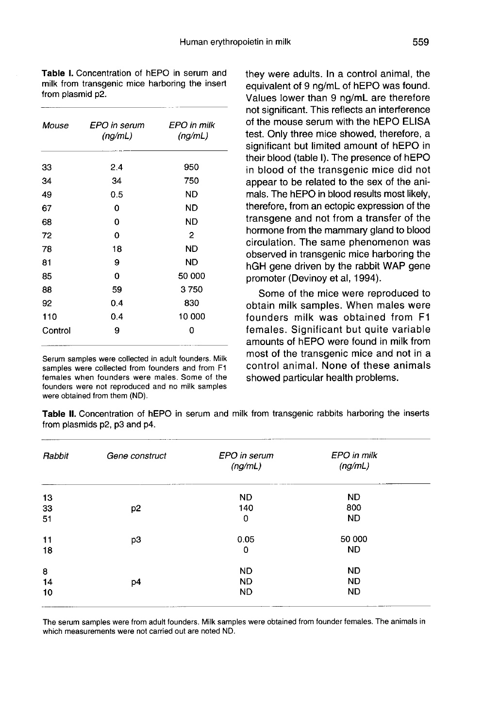FPO in milk FPO in serum Mouse  $(ng/mL)$  $(nq/mL)$  $2.4$ 950 33 34 34 750  $0.5$ 49 ND.  $\mathbf 0$ ND. 67 68  $\mathbf{0}$ **ND**  $\overline{2}$ 72  $\mathbf 0$ 78 18 ND. 81 9 **ND**  $\mathbf 0$ 50 000 85 88 59 3750 830 92  $0.4$ 110  $0.4$ 10 000 9  $\mathbf 0$ Control

Serum samples were collected in adult founders. Milk samples were collected from founders and from F1 females when founders were males. Some of the founders were not reproduced and no milk samples were obtained from them (ND).

they were adults. In a control animal, the equivalent of 9 ng/mL of hEPO was found. Values lower than 9 ng/mL are therefore not significant. This reflects an interference of the mouse serum with the hEPO ELISA test. Only three mice showed, therefore, a significant but limited amount of hEPO in their blood (table I). The presence of hEPO in blood of the transgenic mice did not appear to be related to the sex of the animals. The hEPO in blood results most likely, therefore, from an ectopic expression of the transgene and not from a transfer of the hormone from the mammary gland to blood circulation. The same phenomenon was observed in transgenic mice harboring the hGH gene driven by the rabbit WAP gene promoter (Devinoy et al, 1994).

Some of the mice were reproduced to obtain milk samples. When males were founders milk was obtained from F1 females. Significant but quite variable amounts of hEPO were found in milk from most of the transgenic mice and not in a control animal. None of these animals showed particular health problems.

Table II. Concentration of hEPO in serum and milk from transgenic rabbits harboring the inserts from plasmids p2, p3 and p4.

| Rabbit | Gene construct | EPO in serum<br>(ng/mL) | EPO in milk<br>(ng/mL) |
|--------|----------------|-------------------------|------------------------|
| 13     |                | <b>ND</b>               | ND.                    |
| 33     | p <sub>2</sub> | 140                     | 800                    |
| 51     |                | $\mathbf 0$             | <b>ND</b>              |
| 11     | p3             | 0.05                    | 50 000                 |
| 18     |                | 0                       | <b>ND</b>              |
| 8      |                | <b>ND</b>               | <b>ND</b>              |
| 14     | p4             | <b>ND</b>               | <b>ND</b>              |
| 10     |                | <b>ND</b>               | <b>ND</b>              |

The serum samples were from adult founders. Milk samples were obtained from founder females. The animals in which measurements were not carried out are noted ND.

Table I. Concentration of hEPO in serum and milk from transgenic mice harboring the insert from plasmid p2.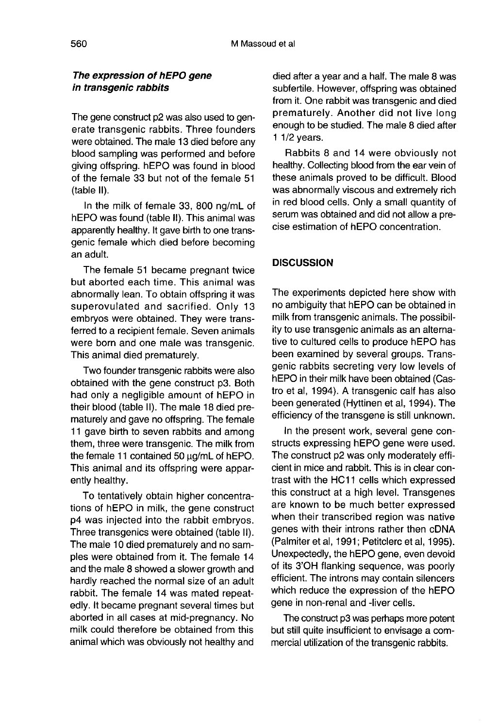### The expression of hEPO gene in transgenic rabbits

The gene construct p2 was also used to generate transgenic rabbits. Three founders were obtained. The male 13 died before any blood sampling was performed and before giving offspring. hEPO was found in blood of the female 33 but not of the female 51 (table II).

In the milk of female 33, 800 ng/mL of hEPO was found (table II). This animal was apparently healthy. It gave birth to one transgenic female which died before becoming an adult.

The female 51 became pregnant twice but aborted each time. This animal was abnormally lean. To obtain offspring it was superovulated and sacrified. Only 13 embryos were obtained. They were transferred to a recipient female. Seven animals were born and one male was transgenic. This animal died prematurely.

Two founder transgenic rabbits were also obtained with the gene construct p3. Both had only a negligible amount of hEPO in their blood (table II). The male 18 died prematurely and gave no offspring. The female 11 gave birth to seven rabbits and among them, three were transgenic. The milk from the female 11 contained 50  $\mu$ g/mL of hEPO. This animal and its offspring were apparently healthy.

To tentatively obtain higher concentrations of hEPO in milk, the gene construct p4 was injected into the rabbit embryos. Three transgenics were obtained (table II). The male 10 died prematurely and no samples were obtained from it. The female 14 and the male 8 showed a slower growth and hardly reached the normal size of an adult rabbit. The female 14 was mated repeatedly. It became pregnant several times but aborted in all cases at mid-pregnancy. No milk could therefore be obtained from this animal which was obviously not healthy and died after a year and a half. The male 8 was subfertile. However, offspring was obtained from it. One rabbit was transgenic and died prematurely. Another did not live long enough to be studied. The male 8 died after 1 1/2 years.

Rabbits 8 and 14 were obviously not healthy. Collecting blood from the ear vein of these animals proved to be difficult. Blood was abnormally viscous and extremely rich in red blood cells. Only a small quantity of serum was obtained and did not allow a precise estimation of hEPO concentration.

#### **DISCUSSION**

The experiments depicted here show with no ambiguity that hEPO can be obtained in milk from transgenic animals. The possibility to use transgenic animals as an alternative to cultured cells to produce hEPO has been examined by several groups. Transgenic rabbits secreting very low levels of hEPO in their milk have been obtained (Castro et al, 1994). A transgenic calf has also been generated (Hyttinen et al, 1994). The efficiency of the transgene is still unknown.

In the present work, several gene constructs expressing hEPO gene were used. The construct p2 was only moderately efficient in mice and rabbit. This is in clear contrast with the HC11 cells which expressed this construct at a high level. Transgenes are known to be much better expressed when their transcribed region was native genes with their introns rather then cDNA (Palmiter et al, 1991; Petitclerc et al, 1995). Unexpectedly, the hEPO gene, even devoid of its 3'OH flanking sequence, was poorly efficient. The introns may contain silencers which reduce the expression of the hEPO gene in non-renal and -liver cells.

The construct p3 was perhaps more potent but still quite insufficient to envisage a commercial utilization of the transgenic rabbits.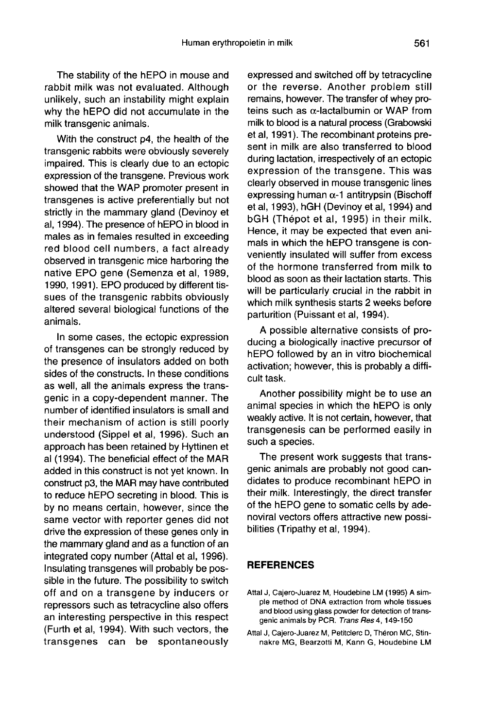The stability of the hEPO in mouse and rabbit milk was not evaluated. Although unlikely, such an instability might explain why the hEPO did not accumulate in the milk transgenic animals.

With the construct p4, the health of the transgenic rabbits were obviously severely impaired. This is clearly due to an ectopic expression of the transgene. Previous work showed that the WAP promoter present in transgenes is active preferentially but not strictly in the mammary gland (Devinoy et al, 1994). The presence of hEPO in blood in males as in females resulted in exceeding red blood cell numbers, a fact already observed in transgenic mice harboring the native EPO gene (Semenza et al, 1989, 1990, 1991). EPO produced by different tissues of the transgenic rabbits obviously altered several biological functions of the animals.

In some cases, the ectopic expression of transgenes can be strongly reduced by the presence of insulators added on both sides of the constructs. In these conditions as well, all the animals express the transgenic in a copy-dependent manner. The number of identified insulators is small and their mechanism of action is still poorly understood (Sippel et al, 1996). Such an approach has been retained by Hyttinen et al (1994). The beneficial effect of the MAR added in this construct is not yet known. In construct p3, the MAR may have contributed to reduce hEPO secreting in blood. This is by no means certain, however, since the same vector with reporter genes did not drive the expression of these genes only in the mammary gland and as a function of an integrated copy number (Attal et al, 1996). Insulating transgenes will probably be possible in the future. The possibility to switch off and on a transgene by inducers or repressors such as tetracycline also offers an interesting perspective in this respect (Furth et al, 1994). With such vectors, the transgenes can be spontaneously expressed and switched off by tetracycline or the reverse. Another problem still remains, however. The transfer of whey proteins such as  $\alpha$ -lactalbumin or WAP from milk to blood is a natural process (Grabowski et al, 1991). The recombinant proteins present in milk are also transferred to blood during lactation, irrespectively of an ectopic expression of the transgene. This was clearly observed in mouse transgenic lines expressing human  $\alpha$ -1 antitrypsin (Bischoff et al, 1993), hGH (Devinoy et al, 1994) and bGH (Thépot et al, 1995) in their milk. Hence, it may be expected that even animals in which the hEPO transgene is conveniently insulated will suffer from excess of the hormone transferred from milk to blood as soon as their lactation starts. This will be particularly crucial in the rabbit in which milk synthesis starts 2 weeks before parturition (Puissant et al, 1994).

A possible alternative consists of producing a biologically inactive precursor of hEPO followed by an in vitro biochemical activation; however, this is probably a difficult task.

Another possibility might be to use an animal species in which the hEPO is only weakly active. It is not certain, however, that transgenesis can be performed easily in such a species.

The present work suggests that transgenic animals are probably not good candidates to produce recombinant hEPO in their milk. Interestingly, the direct transfer of the hEPO gene to somatic cells by adenoviral vectors offers attractive new possibilities (Tripathy et al, 1994).

#### **REFERENCES**

- Attal J, Cajero-Juarez M, Houdebine LM (1995) A simple method of DNA extraction from whole tissues and blood using glass powder for detection of transgenic animals by PCR. Trans Res 4, 149-150
- Attal J, Cajero-Juarez M, Petitclerc D, Théron MC, Stinnakre MG, Bearzotti M, Kann G, Houdebine LM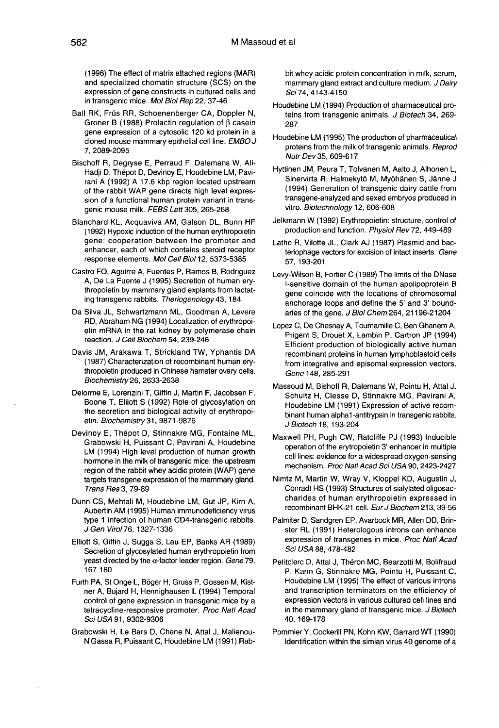(1996) The effect of matrix attached regions (MAR) and specialized chomatin structure (SCS) on the expression of gene constructs in cultured cells and in transgenic mice. Mol Biol Rep 22, 37-46

- Ball RK, Früs RR, Schoenenberger CA, Doppler N, Groner B (1988) Prolactin regulation of  $\beta$  casein gene expression of a cytosolic 120 kd protein in a cloned mouse mammary epithelial cell line. EMBO J 7, 2089-2095
- Bischoff R, Degryse E, Perraud F, Dalemans W, Ali-Hadji D, Thépot D, Devinoy E, Houdebine LM, Pavirani A (1992) A 17.6 kbp region located upstream of the rabbit WAP gene directs high level expression of a functional human protein variant in transgenic mouse milk. FEBS Lett 305, 265-268
- Blanchard KL, Acquaviva AM, Galson DL, Bunn HF (1992) Hypoxic induction of the human erythropoietin gene: cooperation between the promoter and enhancer, each of which contains steroid receptor response elements. Mol Cell Biol 12, 5373-5385
- Castro FO, Aguirre A, Fuentes P, Ramos B, Rodriguez A, De La Fuente J (1995) Secretion of human erythropoietin by mammary gland explants from lactating transgenic rabbits. Theriogenology43, 184
- Da Silva JL, Schwartzmann ML, Goodman A, Levere<br>RD, Abraham NG (1994) Localization of erythropoietin mRNA in the rat kidney by polymerase chain reaction. J Cell Biochem 54, 239-246
- Davis JM, Arakawa T, Strickland TW, Yphantis DA (1987) Characterization of recombinant human erythropoietin produced in Chinese hamster ovary cells. Biochemistry 26, 2633-2638
- Delorme E, Lorenzini T, Giffin J, Martin F, Jacobsen F, Boone T, Elliott S (1992) Role of glycosylation on the secretion and biological activity of erythropoi etin. Biochemistry 31, 9871 -9876
- Devinov E, Thépot D, Stinnakre MG, Fontaine ML, Grabowski H, Puissant C, Pavirani A, Houdebine LM (1994) High level production of human growth hormone in the milk of transgenic mice: the upstream region of the rabbit whey acidic protein (WAP) gene targets transgene expression of the mammary gland. Trans Res 3, 79-89
- Dunn CS, Mehtali M, Houdebine LM, Gut JP, Kirn A, Aubertin AM (1995) Human immunodeficiency virus type 1 infection of human CD4-transgenic rabbits. J Gen Virol76, 1327-1336
- Elliott S, Giffin J, Suggs S, Lau EP, Banks AR (1989) Secretion of glycosylated human erythropoietin from yeast directed by the  $\alpha$ -factor leader region. Gene 79, 167-180
- Furth PA, St Onge L, Böger H, Gruss P, Gossen M, Kistner A, Bujard H, Hennighausen L (1994) Temporal control of gene expression in transgenic mice by a tetracycline-responsive promoter. Proc Natl Acad Sci USA 91, 9302-9306
- Grabowski H, Le Bars D, Chene N, Attal J, Malienou-N'Gassa R, Puissant C, Houdebine LM (1991) Rab-

bit whey acidic protein concentration in milk, serum, mammary gland extract and culture medium. J Dairy Sci74, 4143-4150

- Houdebine LM (1994) Production of pharmaceutical proteins from transgenic animals. J Biotech 34, 269-287
- Houdebine LM (1995) The production of pharmaceutical proteins from the milk of transgenic animals. Reprod Nutr Dev 35, 609-617
- Hyttinen JM, Peura T, Tolvanen M, Aalto J, Alhonen L, Sinervirta R, Halmekytö M, Myöhänen S, Jänne J (1994) Generation of transgenic dairy cattle from transgene-analyzed and sexed embryos produced in vitro. Biotechnology 12, 606-608
- Jelkmann W (1992) Erythropoietin: structure, control of production and function. Physiol Rev 72, 449-489
- Lathe R, Vilotte JL, Clark AJ (1987) Plasmid and bacteriophage vectors for excision of intact inserts. Gene 57, 193-201
- Levy-Wilson B, Fortier C (1989) The limits of the DNase I-sensitive domain of the human apolipoprotein B gene coincide with the locations of chromosomal anchorage loops and define the 5' and 3' boundaries of the gene. J Biol Chem 264, 21196-21204
- Lopez C, De Chesnay A, Tournamille C, Ben Ghanem A, Prigent S, Drouet X, Lambin P, Cartron JP (1994) Efficient production of biologically active human recombinant proteins in human lymphoblastoid cells from integrative and episomal expression vectors. Gene 148, 285-291
- Massoud M, Bishoff R, Dalemans W, Pointu H, Attal J, Schultz H, Clesse D, Stinnakre MG, Pavirani A, Houdebine LM (1991) Expression of active recombinant human alphal-antitrypsin in transgenic rabbits. J Biotech 18, 193-204
- Maxwell PH, Pugh CW, Ratcliffe PJ (1993) Inducible operation of the erytropoietin 3' enhancer in multiple cell lines: evidence for a widespread oxygen-sensing mechanism. Proc Natl Acad Sci USA 90, 2423-2427
- Nimtz M, Martin W, Wray V, Kloppel KD, Augustin J, Conradt HS (1993) Structures of sialylated oligosac charides of human erythropoietin expressed in recombinant BHK-21 cell. Eur J Biochem 213, 39-56
- Palmiter D, Sandgren EP, Avarbock MR, Allen DD, Brinster RL (1991) Heterologous introns can enhance expression of transgenes in mice. Proc Natl Acad Sci USA 88, 478-482
- Petitclerc D, Attal J, Théron MC, Bearzotti M, Bolifraud P, Kann G, Stinnakre MG, Pointu H, Puissant C, Houdebine LM (1995) The effect of various introns and transcription terminators on the efficiency of expression vectors in various cultured cell lines and in the mammary gland of transgenic mice. J Biotech 40, 169-178
- Pommier Y, Cockerill PN, Kohn KW, Garrard WT (1990) Identification within the simian virus 40 genome of a